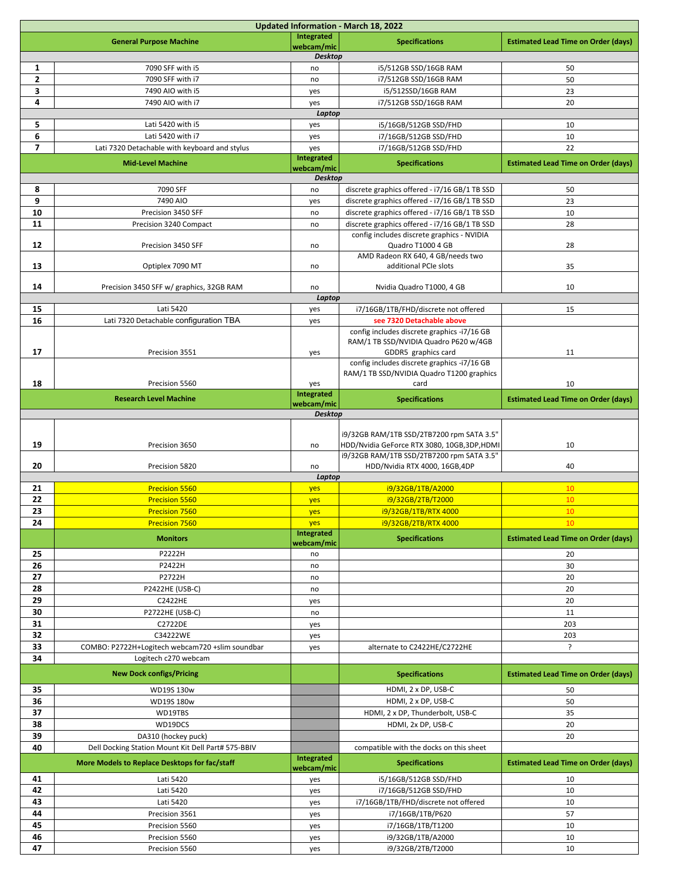| Updated Information - March 18, 2022 |                                                    |                      |                                                                                                |                                            |  |  |  |
|--------------------------------------|----------------------------------------------------|----------------------|------------------------------------------------------------------------------------------------|--------------------------------------------|--|--|--|
|                                      | <b>General Purpose Machine</b>                     | Integrated           | <b>Specifications</b>                                                                          | <b>Estimated Lead Time on Order (days)</b> |  |  |  |
|                                      |                                                    | webcam/mic           |                                                                                                |                                            |  |  |  |
|                                      |                                                    | <b>Desktop</b>       |                                                                                                |                                            |  |  |  |
| 1<br>$\mathbf{z}$                    | 7090 SFF with i5<br>7090 SFF with i7               | no<br>no             | i5/512GB SSD/16GB RAM<br>i7/512GB SSD/16GB RAM                                                 | 50<br>50                                   |  |  |  |
| 3                                    | 7490 AIO with i5                                   | yes                  | i5/512SSD/16GB RAM                                                                             | 23                                         |  |  |  |
| 4                                    | 7490 AIO with i7                                   | yes                  | i7/512GB SSD/16GB RAM                                                                          | 20                                         |  |  |  |
| Laptop                               |                                                    |                      |                                                                                                |                                            |  |  |  |
| 5                                    | Lati 5420 with i5                                  | yes                  | i5/16GB/512GB SSD/FHD                                                                          | 10                                         |  |  |  |
| 6                                    | Lati 5420 with i7                                  | yes                  | i7/16GB/512GB SSD/FHD                                                                          | 10                                         |  |  |  |
| $\overline{7}$                       | Lati 7320 Detachable with keyboard and stylus      | yes                  | i7/16GB/512GB SSD/FHD                                                                          | 22                                         |  |  |  |
|                                      | <b>Mid-Level Machine</b>                           | Integrated           | <b>Specifications</b>                                                                          | <b>Estimated Lead Time on Order (days)</b> |  |  |  |
|                                      |                                                    | webcam/mic           |                                                                                                |                                            |  |  |  |
| 8                                    | 7090 SFF                                           | <b>Desktop</b><br>no |                                                                                                |                                            |  |  |  |
| 9                                    | 7490 AIO                                           |                      | discrete graphics offered - i7/16 GB/1 TB SSD<br>discrete graphics offered - i7/16 GB/1 TB SSD | 50<br>23                                   |  |  |  |
| 10                                   | Precision 3450 SFF                                 | yes<br>no            | discrete graphics offered - i7/16 GB/1 TB SSD                                                  | 10                                         |  |  |  |
| 11                                   | Precision 3240 Compact                             | no                   | discrete graphics offered - i7/16 GB/1 TB SSD                                                  | 28                                         |  |  |  |
|                                      |                                                    |                      | config includes discrete graphics - NVIDIA                                                     |                                            |  |  |  |
| 12                                   | Precision 3450 SFF                                 | no                   | Quadro T1000 4 GB                                                                              | 28                                         |  |  |  |
|                                      |                                                    |                      | AMD Radeon RX 640, 4 GB/needs two                                                              |                                            |  |  |  |
| 13                                   | Optiplex 7090 MT                                   | no                   | additional PCIe slots                                                                          | 35                                         |  |  |  |
| 14                                   |                                                    |                      |                                                                                                | 10                                         |  |  |  |
|                                      | Precision 3450 SFF w/ graphics, 32GB RAM           | no<br>Laptop         | Nvidia Quadro T1000, 4 GB                                                                      |                                            |  |  |  |
| 15                                   | Lati 5420                                          | yes                  | i7/16GB/1TB/FHD/discrete not offered                                                           | 15                                         |  |  |  |
| 16                                   | Lati 7320 Detachable configuration TBA             | yes                  | see 7320 Detachable above                                                                      |                                            |  |  |  |
|                                      |                                                    |                      | config includes discrete graphics -i7/16 GB                                                    |                                            |  |  |  |
|                                      |                                                    |                      | RAM/1 TB SSD/NVIDIA Quadro P620 w/4GB                                                          |                                            |  |  |  |
| 17                                   | Precision 3551                                     | yes                  | GDDR5 graphics card                                                                            | 11                                         |  |  |  |
|                                      |                                                    |                      | config includes discrete graphics -i7/16 GB                                                    |                                            |  |  |  |
| 18                                   | Precision 5560                                     | yes                  | RAM/1 TB SSD/NVIDIA Quadro T1200 graphics<br>card                                              | 10                                         |  |  |  |
|                                      |                                                    | Integrated           |                                                                                                |                                            |  |  |  |
|                                      | <b>Research Level Machine</b>                      | webcam/mic           | <b>Specifications</b>                                                                          | <b>Estimated Lead Time on Order (days)</b> |  |  |  |
|                                      |                                                    | <b>Desktop</b>       |                                                                                                |                                            |  |  |  |
|                                      |                                                    |                      | i9/32GB RAM/1TB SSD/2TB7200 rpm SATA 3.5"                                                      |                                            |  |  |  |
| 19                                   | Precision 3650                                     | no                   | HDD/Nvidia GeForce RTX 3080, 10GB, 3DP, HDMI                                                   | 10                                         |  |  |  |
|                                      |                                                    |                      | i9/32GB RAM/1TB SSD/2TB7200 rpm SATA 3.5"                                                      |                                            |  |  |  |
| 20                                   | Precision 5820                                     | no                   | HDD/Nvidia RTX 4000, 16GB, 4DP                                                                 | 40                                         |  |  |  |
| Laptop                               |                                                    |                      |                                                                                                |                                            |  |  |  |
| 21                                   | <b>Precision 5560</b>                              | yes                  | i9/32GB/1TB/A2000                                                                              | 10                                         |  |  |  |
| 22<br>23                             | <b>Precision 5560</b>                              | yes                  | i9/32GB/2TB/T2000                                                                              | 10<br>10                                   |  |  |  |
| 24                                   | <b>Precision 7560</b><br><b>Precision 7560</b>     | yes<br>yes           | i9/32GB/1TB/RTX 4000<br>i9/32GB/2TB/RTX 4000                                                   | 10                                         |  |  |  |
|                                      |                                                    | Integrated           |                                                                                                |                                            |  |  |  |
|                                      | <b>Monitors</b>                                    | webcam/mic           | <b>Specifications</b>                                                                          | <b>Estimated Lead Time on Order (days)</b> |  |  |  |
| 25                                   | P2222H                                             | no                   |                                                                                                | 20                                         |  |  |  |
| 26                                   | P2422H                                             | no                   |                                                                                                | 30                                         |  |  |  |
| 27                                   | P2722H                                             | no                   |                                                                                                | 20                                         |  |  |  |
| 28                                   | P2422HE (USB-C)                                    | no                   |                                                                                                | 20                                         |  |  |  |
| 29<br>30                             | <b>C2422HE</b>                                     | yes                  |                                                                                                | 20                                         |  |  |  |
| 31                                   | <b>P2722HE (USB-C)</b><br>C2722DE                  | no                   |                                                                                                | 11<br>203                                  |  |  |  |
| 32                                   | C34222WE                                           | yes<br>yes           |                                                                                                | 203                                        |  |  |  |
| 33                                   | COMBO: P2722H+Logitech webcam720 +slim soundbar    | yes                  | alternate to C2422HE/C2722HE                                                                   | ?                                          |  |  |  |
| 34                                   | Logitech c270 webcam                               |                      |                                                                                                |                                            |  |  |  |
|                                      | <b>New Dock configs/Pricing</b>                    |                      | <b>Specifications</b>                                                                          | <b>Estimated Lead Time on Order (days)</b> |  |  |  |
|                                      |                                                    |                      |                                                                                                |                                            |  |  |  |
| 35                                   | WD19S 130w                                         |                      | HDMI, 2 x DP, USB-C                                                                            | 50                                         |  |  |  |
| 36<br>37                             | WD19S 180w                                         |                      | HDMI, 2 x DP, USB-C                                                                            | 50<br>35                                   |  |  |  |
| 38                                   | WD19TBS<br>WD19DCS                                 |                      | HDMI, 2 x DP, Thunderbolt, USB-C<br>HDMI, 2x DP, USB-C                                         | 20                                         |  |  |  |
| 39                                   | DA310 (hockey puck)                                |                      |                                                                                                | 20                                         |  |  |  |
| 40                                   | Dell Docking Station Mount Kit Dell Part# 575-BBIV |                      | compatible with the docks on this sheet                                                        |                                            |  |  |  |
|                                      | More Models to Replace Desktops for fac/staff      | Integrated           | <b>Specifications</b>                                                                          | <b>Estimated Lead Time on Order (days)</b> |  |  |  |
|                                      |                                                    | webcam/mic           |                                                                                                |                                            |  |  |  |
| 41                                   | Lati 5420                                          | yes                  | i5/16GB/512GB SSD/FHD                                                                          | 10                                         |  |  |  |
| 42<br>43                             | Lati 5420<br>Lati 5420                             | yes                  | i7/16GB/512GB SSD/FHD<br>i7/16GB/1TB/FHD/discrete not offered                                  | 10<br>10                                   |  |  |  |
| 44                                   | Precision 3561                                     | yes<br>yes           | i7/16GB/1TB/P620                                                                               | 57                                         |  |  |  |
| 45                                   | Precision 5560                                     | yes                  | i7/16GB/1TB/T1200                                                                              | 10                                         |  |  |  |
| 46                                   | Precision 5560                                     | yes                  | i9/32GB/1TB/A2000                                                                              | 10                                         |  |  |  |
| 47                                   | Precision 5560                                     | yes                  | i9/32GB/2TB/T2000                                                                              | 10                                         |  |  |  |